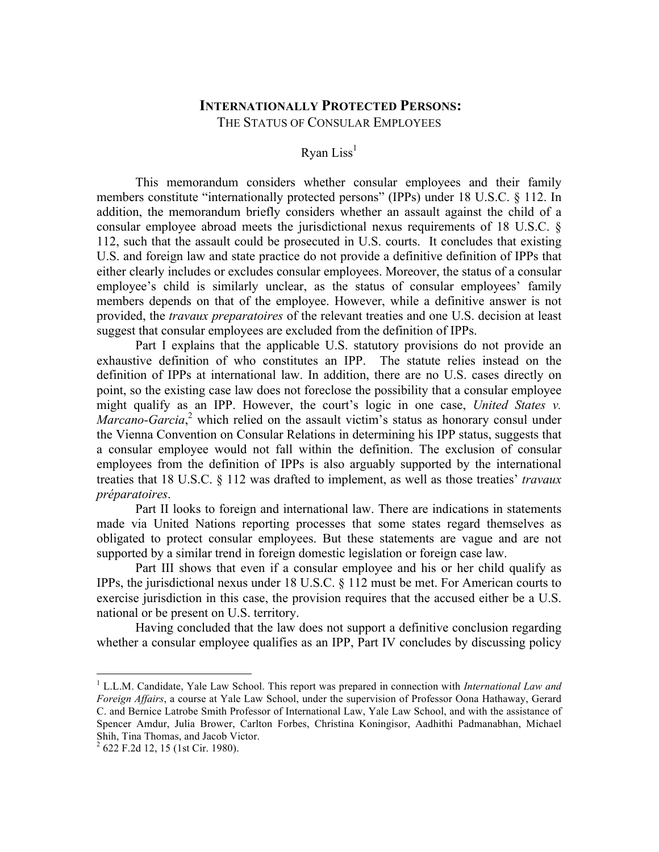# **INTERNATIONALLY PROTECTED PERSONS:** THE STATUS OF CONSULAR EMPLOYEES

#### Ryan  $Liss<sup>1</sup>$

This memorandum considers whether consular employees and their family members constitute "internationally protected persons" (IPPs) under 18 U.S.C. § 112. In addition, the memorandum briefly considers whether an assault against the child of a consular employee abroad meets the jurisdictional nexus requirements of 18 U.S.C. § 112, such that the assault could be prosecuted in U.S. courts. It concludes that existing U.S. and foreign law and state practice do not provide a definitive definition of IPPs that either clearly includes or excludes consular employees. Moreover, the status of a consular employee's child is similarly unclear, as the status of consular employees' family members depends on that of the employee. However, while a definitive answer is not provided, the *travaux preparatoires* of the relevant treaties and one U.S. decision at least suggest that consular employees are excluded from the definition of IPPs.

Part I explains that the applicable U.S. statutory provisions do not provide an exhaustive definition of who constitutes an IPP. The statute relies instead on the definition of IPPs at international law. In addition, there are no U.S. cases directly on point, so the existing case law does not foreclose the possibility that a consular employee might qualify as an IPP. However, the court's logic in one case, *United States v.*  Marcano-Garcia,<sup>2</sup> which relied on the assault victim's status as honorary consul under the Vienna Convention on Consular Relations in determining his IPP status, suggests that a consular employee would not fall within the definition. The exclusion of consular employees from the definition of IPPs is also arguably supported by the international treaties that 18 U.S.C. § 112 was drafted to implement, as well as those treaties' *travaux préparatoires*.

Part II looks to foreign and international law. There are indications in statements made via United Nations reporting processes that some states regard themselves as obligated to protect consular employees. But these statements are vague and are not supported by a similar trend in foreign domestic legislation or foreign case law.

Part III shows that even if a consular employee and his or her child qualify as IPPs, the jurisdictional nexus under 18 U.S.C. § 112 must be met. For American courts to exercise jurisdiction in this case, the provision requires that the accused either be a U.S. national or be present on U.S. territory.

Having concluded that the law does not support a definitive conclusion regarding whether a consular employee qualifies as an IPP, Part IV concludes by discussing policy

<sup>1</sup> L.L.M. Candidate, Yale Law School. This report was prepared in connection with *International Law and Foreign Affairs*, a course at Yale Law School, under the supervision of Professor Oona Hathaway, Gerard C. and Bernice Latrobe Smith Professor of International Law, Yale Law School, and with the assistance of Spencer Amdur, Julia Brower, Carlton Forbes, Christina Koningisor, Aadhithi Padmanabhan, Michael Shih, Tina Thomas, and Jacob Victor.<br><sup>2</sup> 622 F.2d 12, 15 (1st Cir. 1980).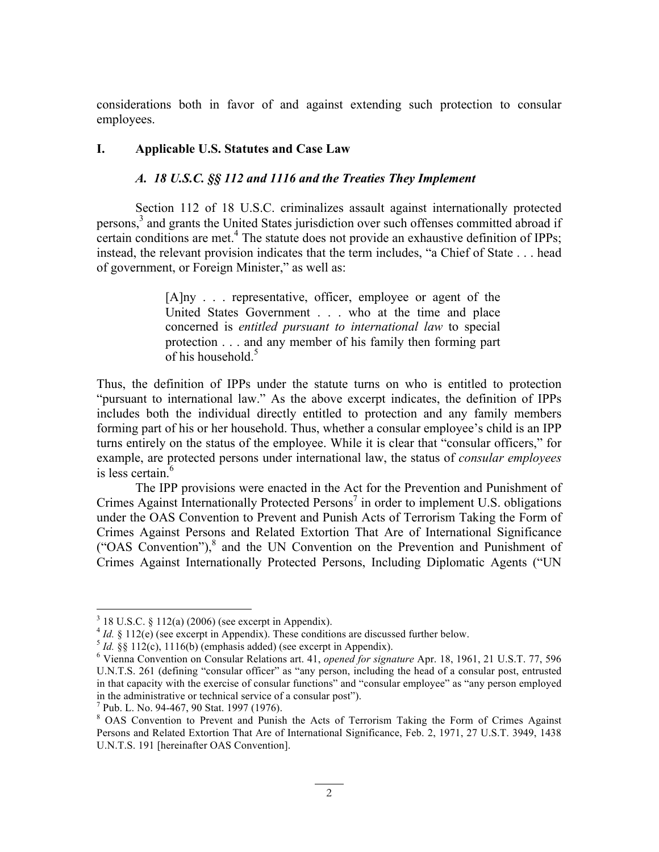considerations both in favor of and against extending such protection to consular employees.

### **I. Applicable U.S. Statutes and Case Law**

### *A. 18 U.S.C. §§ 112 and 1116 and the Treaties They Implement*

Section 112 of 18 U.S.C. criminalizes assault against internationally protected persons, <sup>3</sup> and grants the United States jurisdiction over such offenses committed abroad if certain conditions are met.<sup>4</sup> The statute does not provide an exhaustive definition of IPPs; instead, the relevant provision indicates that the term includes, "a Chief of State . . . head of government, or Foreign Minister," as well as:

> [A]ny . . . representative, officer, employee or agent of the United States Government . . . who at the time and place concerned is *entitled pursuant to international law* to special protection . . . and any member of his family then forming part of his household.<sup>5</sup>

Thus, the definition of IPPs under the statute turns on who is entitled to protection "pursuant to international law." As the above excerpt indicates, the definition of IPPs includes both the individual directly entitled to protection and any family members forming part of his or her household. Thus, whether a consular employee's child is an IPP turns entirely on the status of the employee. While it is clear that "consular officers," for example, are protected persons under international law, the status of *consular employees* is less certain.<sup>6</sup>

The IPP provisions were enacted in the Act for the Prevention and Punishment of Crimes Against Internationally Protected Persons<sup>7</sup> in order to implement U.S. obligations under the OAS Convention to Prevent and Punish Acts of Terrorism Taking the Form of Crimes Against Persons and Related Extortion That Are of International Significance ("OAS Convention"), $<sup>8</sup>$  and the UN Convention on the Prevention and Punishment of</sup> Crimes Against Internationally Protected Persons, Including Diplomatic Agents ("UN

<sup>&</sup>lt;sup>3</sup> 18 U.S.C. § 112(a) (2006) (see excerpt in Appendix).<br><sup>4</sup> *Id.* § 112(e) (see excerpt in Appendix). These conditions are discussed further below.<br><sup>5</sup> *Id.* §§ 112(c), 1116(b) (emphasis added) (see excerpt in Appendix). U.N.T.S. 261 (defining "consular officer" as "any person, including the head of a consular post, entrusted in that capacity with the exercise of consular functions" and "consular employee" as "any person employed in the administrative or technical service of a consular post").

 $^7$  Pub. L. No. 94-467, 90 Stat. 1997 (1976).<br><sup>8</sup> OAS Convention to Prevent and Punish the Acts of Terrorism Taking the Form of Crimes Against Persons and Related Extortion That Are of International Significance, Feb. 2, 1971, 27 U.S.T. 3949, 1438 U.N.T.S. 191 [hereinafter OAS Convention].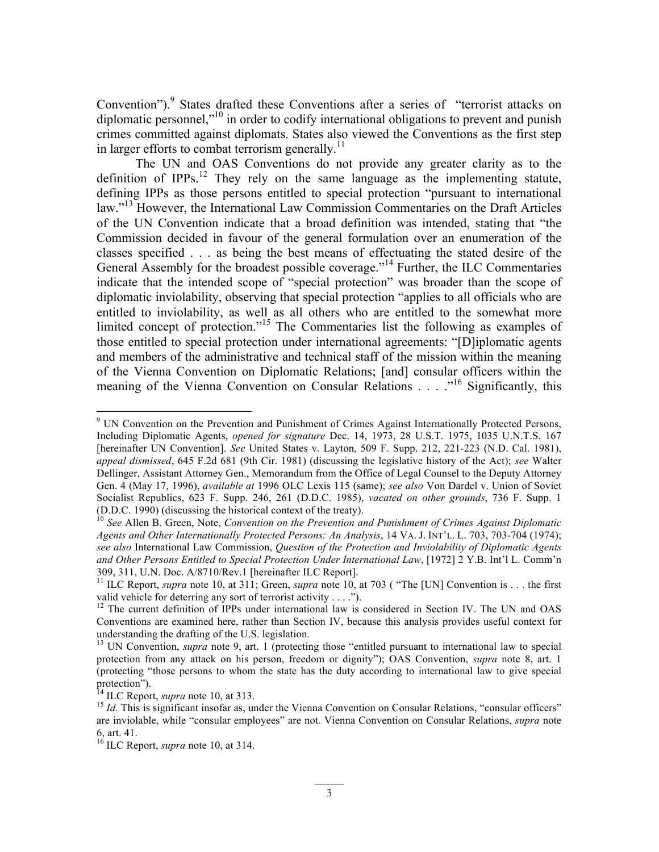Convention").<sup>9</sup> States drafted these Conventions after a series of "terrorist attacks on diplomatic personnel,"<sup>10</sup> in order to codify international obligations to prevent and punish crimes committed against diplomats. States also viewed the Conventions as the first step in larger efforts to combat terrorism generally.<sup>11</sup>

The UN and OAS Conventions do not provide any greater clarity as to the definition of  $IPPs$ <sup>12</sup>. They rely on the same language as the implementing statute, defining IPPs as those persons entitled to special protection "pursuant to international law."<sup>13</sup> However, the International Law Commission Commentaries on the Draft Articles of the UN Convention indicate that a broad definition was intended, stating that "the Commission decided in favour of the general formulation over an enumeration of the classes specified . . . as being the best means of effectuating the stated desire of the General Assembly for the broadest possible coverage."<sup>14</sup> Further, the ILC Commentaries indicate that the intended scope of "special protection" was broader than the scope of diplomatic inviolability, observing that special protection "applies to all officials who are entitled to inviolability, as well as all others who are entitled to the somewhat more limited concept of protection."<sup>15</sup> The Commentaries list the following as examples of those entitled to special protection under international agreements: "[D]iplomatic agents and members of the administrative and technical staff of the mission within the meaning of the Vienna Convention on Diplomatic Relations; [and] consular officers within the meaning of the Vienna Convention on Consular Relations . . . .<sup>16</sup> Significantly, this

<sup>&</sup>lt;sup>9</sup> UN Convention on the Prevention and Punishment of Crimes Against Internationally Protected Persons, Including Diplomatic Agents, *opened for signature* Dec. 14, 1973, 28 U.S.T. 1975, 1035 U.N.T.S. 167 [hereinafter UN Convention]. *See* United States v. Layton, 509 F. Supp. 212, 221-223 (N.D. Cal. 1981), *appeal dismissed*, 645 F.2d 681 (9th Cir. 1981) (discussing the legislative history of the Act); *see* Walter Dellinger, Assistant Attorney Gen., Memorandum from the Office of Legal Counsel to the Deputy Attorney Gen. 4 (May 17, 1996), *available at* 1996 OLC Lexis 115 (same); *see also* Von Dardel v. Union of Soviet Socialist Republics, 623 F. Supp. 246, 261 (D.D.C. 1985), *vacated on other grounds*, 736 F. Supp. 1

<sup>&</sup>lt;sup>10</sup> See Allen B. Green, Note, *Convention on the Prevention and Punishment of Crimes Against Diplomatic Agents and Other Internationally Protected Persons: An Analysis*, 14 VA. J. INT'L. L. 703, 703-704 (1974); *see also* International Law Commission, *Question of the Protection and Inviolability of Diplomatic Agents and Other Persons Entitled to Special Protection Under International Law*, [1972] 2 Y.B. Int'l L. Comm'n 309, 311, U.N. Doc. A/8710/Rev.1 [hereinafter ILC Report]. <sup>11</sup> ILC Report, *supra* note 10, at 311; Green, *supra* note 10, at 703 ( "The [UN] Convention is . . . the first

valid vehicle for deterring any sort of terrorist activity . . . .").<br><sup>12</sup> The current definition of IPPs under international law is considered in Section IV. The UN and OAS

Conventions are examined here, rather than Section IV, because this analysis provides useful context for understanding the drafting of the U.S. legislation.

<sup>&</sup>lt;sup>13</sup> UN Convention, *supra* note 9, art. 1 (protecting those "entitled pursuant to international law to special protection from any attack on his person, freedom or dignity"); OAS Convention, *supra* note 8, art. 1 (protecting "those persons to whom the state has the duty according to international law to give special

<sup>&</sup>lt;sup>14</sup> ILC Report, *supra* note 10, at 313.<br><sup>15</sup> *Id.* This is significant insofar as, under the Vienna Convention on Consular Relations, "consular officers" are inviolable, while "consular employees" are not. Vienna Convention on Consular Relations, *supra* note 6, art. 41.

<sup>16</sup> ILC Report, *supra* note 10, at 314.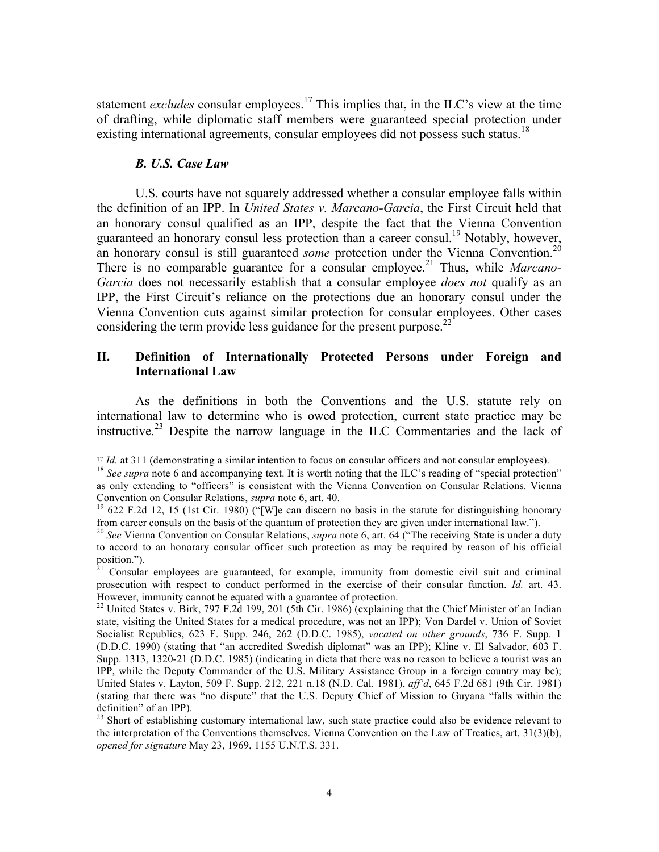statement *excludes* consular employees.<sup>17</sup> This implies that, in the ILC's view at the time of drafting, while diplomatic staff members were guaranteed special protection under existing international agreements, consular employees did not possess such status.<sup>18</sup>

#### *B. U.S. Case Law*

U.S. courts have not squarely addressed whether a consular employee falls within the definition of an IPP. In *United States v. Marcano-Garcia*, the First Circuit held that an honorary consul qualified as an IPP, despite the fact that the Vienna Convention guaranteed an honorary consul less protection than a career consul.<sup>19</sup> Notably, however, an honorary consul is still guaranteed *some* protection under the Vienna Convention.<sup>20</sup> There is no comparable guarantee for a consular employee. <sup>21</sup> Thus, while *Marcano-Garcia* does not necessarily establish that a consular employee *does not* qualify as an IPP, the First Circuit's reliance on the protections due an honorary consul under the Vienna Convention cuts against similar protection for consular employees. Other cases considering the term provide less guidance for the present purpose.<sup>22</sup>

# **II. Definition of Internationally Protected Persons under Foreign and International Law**

As the definitions in both the Conventions and the U.S. statute rely on international law to determine who is owed protection, current state practice may be instructive.<sup>23</sup> Despite the narrow language in the ILC Commentaries and the lack of

<sup>&</sup>lt;sup>17</sup> *Id.* at 311 (demonstrating a similar intention to focus on consular officers and not consular employees).

<sup>&</sup>lt;sup>18</sup> *See supra* note 6 and accompanying text. It is worth noting that the ILC's reading of "special protection" as only extending to "officers" is consistent with the Vienna Convention on Consular Relations. Vienna Convention on Consular Relations, *supra* note 6, art. 40.<br><sup>19</sup> 622 F.2d 12, 15 (1st Cir. 1980) ("[W]e can discern no basis in the statute for distinguishing honorary

from career consuls on the basis of the quantum of protection they are given under international law.").

<sup>20</sup> *See* Vienna Convention on Consular Relations, *supra* note 6, art. 64 ("The receiving State is under a duty to accord to an honorary consular officer such protection as may be required by reason of his official position.").

 $21$  Consular employees are guaranteed, for example, immunity from domestic civil suit and criminal prosecution with respect to conduct performed in the exercise of their consular function. *Id.* art. 43. However, immunity cannot be equated with a guarantee of protection.

<sup>&</sup>lt;sup>22</sup> United States v. Birk, 797 F.2d 199, 201 (5th Cir. 1986) (explaining that the Chief Minister of an Indian state, visiting the United States for a medical procedure, was not an IPP); Von Dardel v. Union of Soviet Socialist Republics, 623 F. Supp. 246, 262 (D.D.C. 1985), *vacated on other grounds*, 736 F. Supp. 1 (D.D.C. 1990) (stating that "an accredited Swedish diplomat" was an IPP); Kline v. El Salvador, 603 F. Supp. 1313, 1320-21 (D.D.C. 1985) (indicating in dicta that there was no reason to believe a tourist was an IPP, while the Deputy Commander of the U.S. Military Assistance Group in a foreign country may be); United States v. Layton, 509 F. Supp. 212, 221 n.18 (N.D. Cal. 1981), *aff'd*, 645 F.2d 681 (9th Cir. 1981) (stating that there was "no dispute" that the U.S. Deputy Chief of Mission to Guyana "falls within the

<sup>&</sup>lt;sup>23</sup> Short of establishing customary international law, such state practice could also be evidence relevant to the interpretation of the Conventions themselves. Vienna Convention on the Law of Treaties, art. 31(3)(b), *opened for signature* May 23, 1969, 1155 U.N.T.S. 331.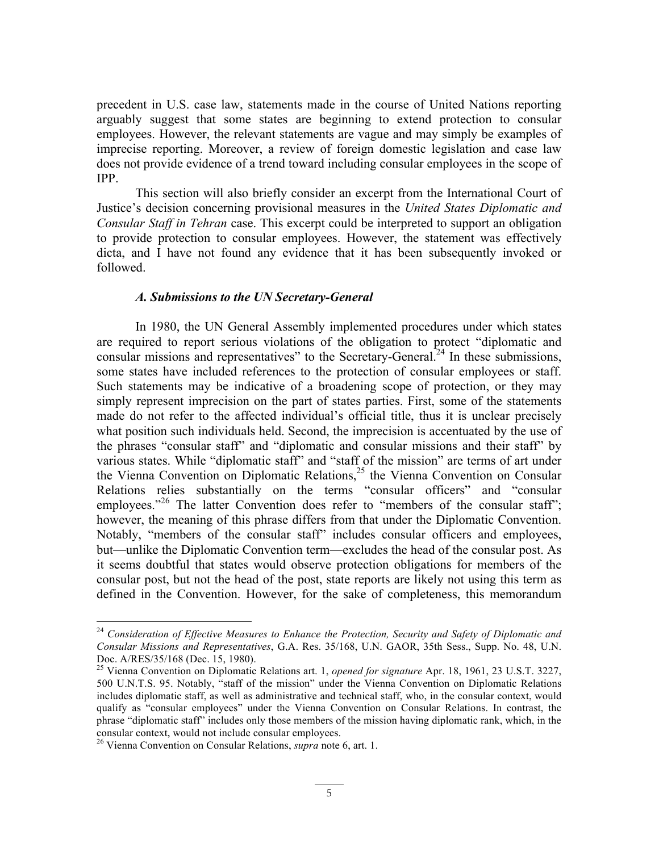precedent in U.S. case law, statements made in the course of United Nations reporting arguably suggest that some states are beginning to extend protection to consular employees. However, the relevant statements are vague and may simply be examples of imprecise reporting. Moreover, a review of foreign domestic legislation and case law does not provide evidence of a trend toward including consular employees in the scope of IPP.

This section will also briefly consider an excerpt from the International Court of Justice's decision concerning provisional measures in the *United States Diplomatic and Consular Staff in Tehran* case. This excerpt could be interpreted to support an obligation to provide protection to consular employees. However, the statement was effectively dicta, and I have not found any evidence that it has been subsequently invoked or followed.

### *A. Submissions to the UN Secretary-General*

In 1980, the UN General Assembly implemented procedures under which states are required to report serious violations of the obligation to protect "diplomatic and consular missions and representatives" to the Secretary-General.<sup>24</sup> In these submissions, some states have included references to the protection of consular employees or staff. Such statements may be indicative of a broadening scope of protection, or they may simply represent imprecision on the part of states parties. First, some of the statements made do not refer to the affected individual's official title, thus it is unclear precisely what position such individuals held. Second, the imprecision is accentuated by the use of the phrases "consular staff" and "diplomatic and consular missions and their staff" by various states. While "diplomatic staff" and "staff of the mission" are terms of art under the Vienna Convention on Diplomatic Relations,  $2<sup>5</sup>$  the Vienna Convention on Consular Relations relies substantially on the terms "consular officers" and "consular employees."<sup>26</sup> The latter Convention does refer to "members of the consular staff"; however, the meaning of this phrase differs from that under the Diplomatic Convention. Notably, "members of the consular staff" includes consular officers and employees, but—unlike the Diplomatic Convention term—excludes the head of the consular post. As it seems doubtful that states would observe protection obligations for members of the consular post, but not the head of the post, state reports are likely not using this term as defined in the Convention. However, for the sake of completeness, this memorandum

<sup>24</sup> *Consideration of Effective Measures to Enhance the Protection, Security and Safety of Diplomatic and Consular Missions and Representatives*, G.A. Res. 35/168, U.N. GAOR, 35th Sess., Supp. No. 48, U.N.

<sup>&</sup>lt;sup>25</sup> Vienna Convention on Diplomatic Relations art. 1, *opened for signature* Apr. 18, 1961, 23 U.S.T. 3227, 500 U.N.T.S. 95. Notably, "staff of the mission" under the Vienna Convention on Diplomatic Relations includes diplomatic staff, as well as administrative and technical staff, who, in the consular context, would qualify as "consular employees" under the Vienna Convention on Consular Relations. In contrast, the phrase "diplomatic staff" includes only those members of the mission having diplomatic rank, which, in the consular context, would not include consular employees. <sup>26</sup> Vienna Convention on Consular Relations, *supra* note 6, art. 1.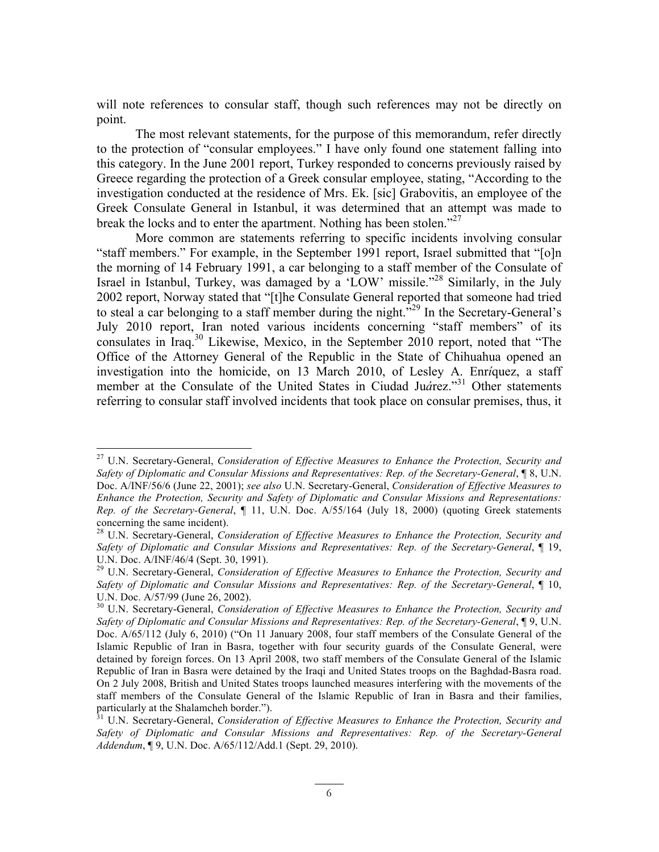will note references to consular staff, though such references may not be directly on point.

The most relevant statements, for the purpose of this memorandum, refer directly to the protection of "consular employees." I have only found one statement falling into this category. In the June 2001 report, Turkey responded to concerns previously raised by Greece regarding the protection of a Greek consular employee, stating, "According to the investigation conducted at the residence of Mrs. Ek. [sic] Grabovitis, an employee of the Greek Consulate General in Istanbul, it was determined that an attempt was made to break the locks and to enter the apartment. Nothing has been stolen."<sup>27</sup>

More common are statements referring to specific incidents involving consular "staff members." For example, in the September 1991 report, Israel submitted that "[o]n the morning of 14 February 1991, a car belonging to a staff member of the Consulate of Israel in Istanbul, Turkey, was damaged by a 'LOW' missile."<sup>28</sup> Similarly, in the July 2002 report, Norway stated that "[t]he Consulate General reported that someone had tried to steal a car belonging to a staff member during the night.<sup>529</sup> In the Secretary-General's July 2010 report, Iran noted various incidents concerning "staff members" of its consulates in Iraq.30 Likewise, Mexico, in the September 2010 report, noted that "The Office of the Attorney General of the Republic in the State of Chihuahua opened an investigation into the homicide, on 13 March 2010, of Lesley A. Enr*í*quez, a staff member at the Consulate of the United States in Ciudad Ju*á*rez."31 Other statements referring to consular staff involved incidents that took place on consular premises, thus, it

<sup>27</sup> U.N. Secretary-General, *Consideration of Effective Measures to Enhance the Protection, Security and Safety of Diplomatic and Consular Missions and Representatives: Rep. of the Secretary-General*, ¶ 8, U.N. Doc. A/INF/56/6 (June 22, 2001); *see also* U.N. Secretary-General, *Consideration of Effective Measures to Enhance the Protection, Security and Safety of Diplomatic and Consular Missions and Representations: Rep. of the Secretary-General*, ¶ 11, U.N. Doc. A/55/164 (July 18, 2000) (quoting Greek statements concerning the same incident).

<sup>28</sup> U.N. Secretary-General, *Consideration of Effective Measures to Enhance the Protection, Security and Safety of Diplomatic and Consular Missions and Representatives: Rep. of the Secretary-General*, ¶ 19,

U.N. Doc. A/INF/46/4 (Sept. 30, 1991).<br><sup>29</sup> U.N. Secretary-General, *Consideration of Effective Measures to Enhance the Protection, Security and Safety of Diplomatic and Consular Missions and Representatives: Rep. of the Secretary-General*, ¶ 10,

U.N. Doc. A/57/99 (June 26, 2002). <sup>30</sup> U.N. Secretary-General, *Consideration of Effective Measures to Enhance the Protection, Security and Safety of Diplomatic and Consular Missions and Representatives: Rep. of the Secretary-General*, ¶ 9, U.N. Doc. A/65/112 (July 6, 2010) ("On 11 January 2008, four staff members of the Consulate General of the Islamic Republic of Iran in Basra, together with four security guards of the Consulate General, were detained by foreign forces. On 13 April 2008, two staff members of the Consulate General of the Islamic Republic of Iran in Basra were detained by the Iraqi and United States troops on the Baghdad-Basra road. On 2 July 2008, British and United States troops launched measures interfering with the movements of the staff members of the Consulate General of the Islamic Republic of Iran in Basra and their families, particularly at the Shalamcheh border.").<br><sup>31</sup> U.N. Secretary-General, *Consideration of Effective Measures to Enhance the Protection, Security and* 

*Safety of Diplomatic and Consular Missions and Representatives: Rep. of the Secretary-General Addendum*, ¶ 9, U.N. Doc. A/65/112/Add.1 (Sept. 29, 2010).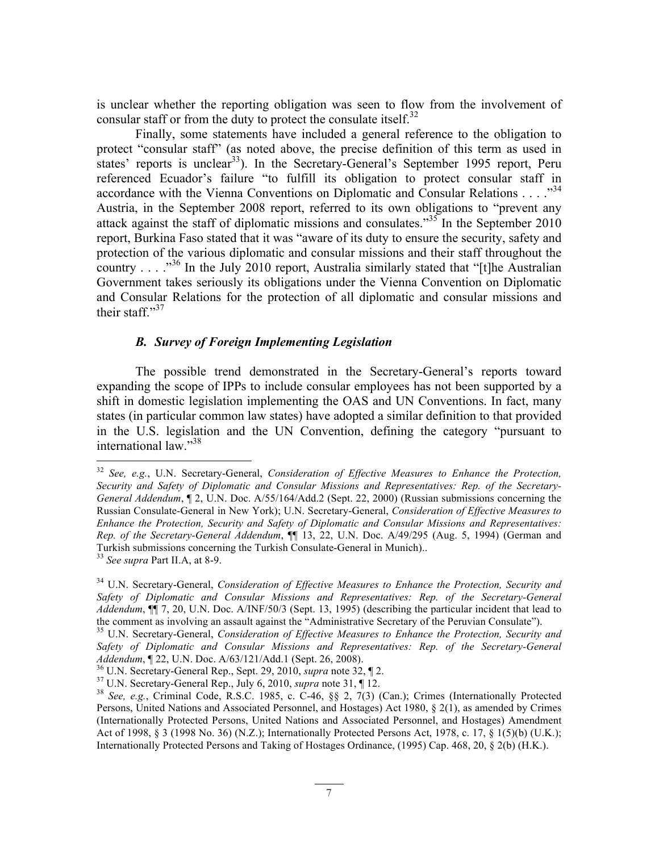is unclear whether the reporting obligation was seen to flow from the involvement of consular staff or from the duty to protect the consulate itself.<sup>32</sup>

Finally, some statements have included a general reference to the obligation to protect "consular staff" (as noted above, the precise definition of this term as used in states' reports is unclear<sup>33</sup>). In the Secretary-General's September 1995 report, Peru referenced Ecuador's failure "to fulfill its obligation to protect consular staff in accordance with the Vienna Conventions on Diplomatic and Consular Relations  $\dots$   $\mathbb{R}^{34}$ Austria, in the September 2008 report, referred to its own obligations to "prevent any attack against the staff of diplomatic missions and consulates.<sup> $35\frac{1}{10}$ </sup> In the September 2010 report, Burkina Faso stated that it was "aware of its duty to ensure the security, safety and protection of the various diplomatic and consular missions and their staff throughout the country  $\ldots$   $\frac{36}{10}$  In the July 2010 report, Australia similarly stated that "[t]he Australian Government takes seriously its obligations under the Vienna Convention on Diplomatic and Consular Relations for the protection of all diplomatic and consular missions and their staff." $37$ 

### *B. Survey of Foreign Implementing Legislation*

The possible trend demonstrated in the Secretary-General's reports toward expanding the scope of IPPs to include consular employees has not been supported by a shift in domestic legislation implementing the OAS and UN Conventions. In fact, many states (in particular common law states) have adopted a similar definition to that provided in the U.S. legislation and the UN Convention, defining the category "pursuant to international law."38

<sup>32</sup> *See, e.g.*, U.N. Secretary-General, *Consideration of Effective Measures to Enhance the Protection, Security and Safety of Diplomatic and Consular Missions and Representatives: Rep. of the Secretary-General Addendum*, ¶ 2, U.N. Doc. A/55/164/Add.2 (Sept. 22, 2000) (Russian submissions concerning the Russian Consulate-General in New York); U.N. Secretary-General, *Consideration of Effective Measures to Enhance the Protection, Security and Safety of Diplomatic and Consular Missions and Representatives: Rep. of the Secretary-General Addendum*, ¶¶ 13, 22, U.N. Doc. A/49/295 (Aug. 5, 1994) (German and Turkish submissions concerning the Turkish Consulate-General in Munich).. <sup>33</sup> *See supra* Part II.A, at 8-9.

<sup>34</sup> U.N. Secretary-General, *Consideration of Effective Measures to Enhance the Protection, Security and Safety of Diplomatic and Consular Missions and Representatives: Rep. of the Secretary-General Addendum*, ¶¶ 7, 20, U.N. Doc. A/INF/50/3 (Sept. 13, 1995) (describing the particular incident that lead to the comment as involving an assault against the "Administrative Secretary of the Peruvian Consulate"). <sup>35</sup> U.N. Secretary-General, *Consideration of Effective Measures to Enhance the Protection, Security and* 

*Safety of Diplomatic and Consular Missions and Representatives: Rep. of the Secretary-General* 

<sup>&</sup>lt;sup>36</sup> U.N. Secretary-General Rep., Sept. 29, 2010, *supra* note 32,  $\P$  2.<br><sup>37</sup> U.N. Secretary-General Rep., Sept. 29, 2010, *supra* note 31,  $\P$  12.<br><sup>38</sup> See, e.g., Criminal Code, R.S.C. 1985, c. C-46, §§ 2, 7(3) (Can.); Persons, United Nations and Associated Personnel, and Hostages) Act 1980, § 2(1), as amended by Crimes (Internationally Protected Persons, United Nations and Associated Personnel, and Hostages) Amendment Act of 1998, § 3 (1998 No. 36) (N.Z.); Internationally Protected Persons Act, 1978, c. 17, § 1(5)(b) (U.K.); Internationally Protected Persons and Taking of Hostages Ordinance, (1995) Cap. 468, 20, § 2(b) (H.K.).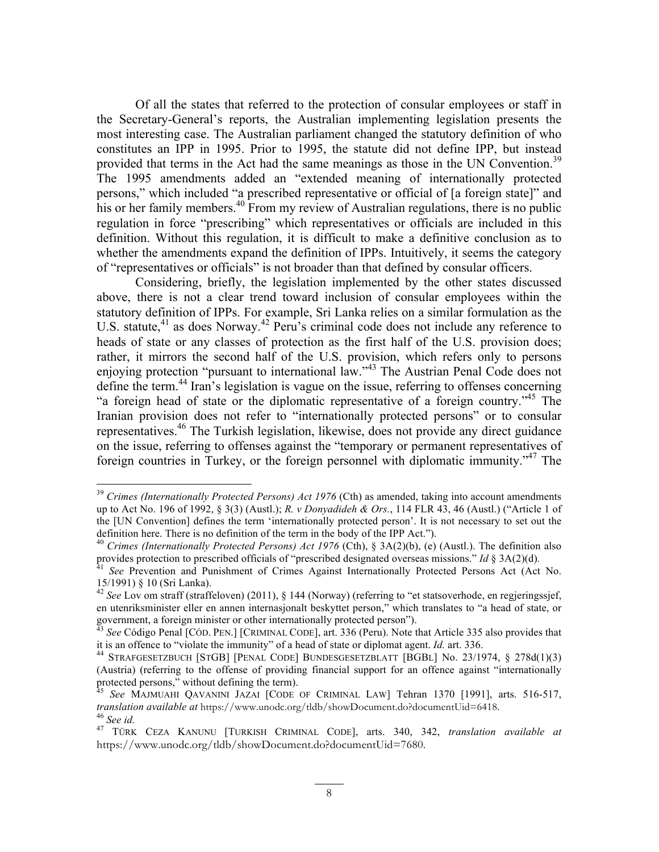Of all the states that referred to the protection of consular employees or staff in the Secretary-General's reports, the Australian implementing legislation presents the most interesting case. The Australian parliament changed the statutory definition of who constitutes an IPP in 1995. Prior to 1995, the statute did not define IPP, but instead provided that terms in the Act had the same meanings as those in the UN Convention.<sup>39</sup> The 1995 amendments added an "extended meaning of internationally protected persons," which included "a prescribed representative or official of [a foreign state]" and his or her family members.<sup>40</sup> From my review of Australian regulations, there is no public regulation in force "prescribing" which representatives or officials are included in this definition. Without this regulation, it is difficult to make a definitive conclusion as to whether the amendments expand the definition of IPPs. Intuitively, it seems the category of "representatives or officials" is not broader than that defined by consular officers.

Considering, briefly, the legislation implemented by the other states discussed above, there is not a clear trend toward inclusion of consular employees within the statutory definition of IPPs. For example, Sri Lanka relies on a similar formulation as the U.S. statute,  $41$  as does Norway.  $42$  Peru's criminal code does not include any reference to heads of state or any classes of protection as the first half of the U.S. provision does; rather, it mirrors the second half of the U.S. provision, which refers only to persons enjoying protection "pursuant to international law."<sup>43</sup> The Austrian Penal Code does not define the term.<sup>44</sup> Iran's legislation is vague on the issue, referring to offenses concerning "a foreign head of state or the diplomatic representative of a foreign country."<sup>45</sup> The Iranian provision does not refer to "internationally protected persons" or to consular representatives.<sup>46</sup> The Turkish legislation, likewise, does not provide any direct guidance on the issue, referring to offenses against the "temporary or permanent representatives of foreign countries in Turkey, or the foreign personnel with diplomatic immunity."<sup>47</sup> The

<sup>&</sup>lt;sup>39</sup> Crimes (Internationally Protected Persons) Act 1976 (Cth) as amended, taking into account amendments up to Act No. 196 of 1992, § 3(3) (Austl.); *R. v Donyadideh & Ors.*, 114 FLR 43, 46 (Austl.) ("Article 1 of the [UN Convention] defines the term 'internationally protected person'. It is not necessary to set out the definition here. There is no definition of the term in the body of the IPP Act.").

<sup>&</sup>lt;sup>40</sup> *Crimes (Internationally Protected Persons) Act 1976* (Cth), § 3A(2)(b), (e) (Austl.). The definition also provides protection to prescribed officials of "prescribed designated overseas missions." Id § 3A(2)(d).

<sup>&</sup>lt;sup>41</sup> See Prevention and Punishment of Crimes Against Internationally Protected Persons Act (Act No. 15/1991) § 10 (Sri Lanka). <sup>42</sup> *See* Lov om straff (straffeloven) (2011), § 144 (Norway) (referring to "et statsoverhode, en regjeringssjef,

en utenriksminister eller en annen internasjonalt beskyttet person," which translates to "a head of state, or

government, a foreign minister or other internationally protected person").<br><sup>43</sup> *See* Código Penal [CÓD. PEN.] [CRIMINAL CODE], art. 336 (Peru). Note that Article 335 also provides that it is an offence to "violate the im

<sup>&</sup>lt;sup>44</sup> STRAFGESETZBUCH [STGB] [PENAL CODE] BUNDESGESETZBLATT [BGBL] No. 23/1974, § 278d(1)(3) (Austria) (referring to the offense of providing financial support for an offence against "internationally protected persons," without defining the term).

See MAJMUAHI QAVANINI JAZAI [CODE OF CRIMINAL LAW] Tehran 1370 [1991], arts. 516-517, *translation available at* https://www.unodc.org/tldb/showDocument.do?documentUid=6418. <sup>46</sup> *See id.* <sup>47</sup> TÜRK CEZA KANUNU [TURKISH CRIMINAL CODE], arts. 340, 342, *translation available at*

https://www.unodc.org/tldb/showDocument.do?documentUid=7680.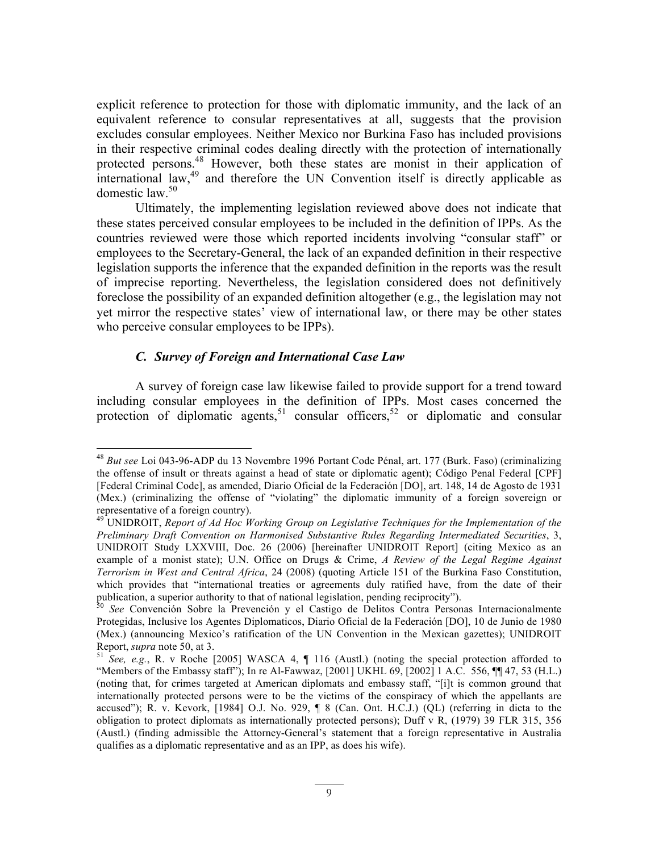explicit reference to protection for those with diplomatic immunity, and the lack of an equivalent reference to consular representatives at all, suggests that the provision excludes consular employees. Neither Mexico nor Burkina Faso has included provisions in their respective criminal codes dealing directly with the protection of internationally protected persons.<sup>48</sup> However, both these states are monist in their application of international law, $^{49}$  and therefore the UN Convention itself is directly applicable as domestic law  $50$ 

Ultimately, the implementing legislation reviewed above does not indicate that these states perceived consular employees to be included in the definition of IPPs. As the countries reviewed were those which reported incidents involving "consular staff" or employees to the Secretary-General, the lack of an expanded definition in their respective legislation supports the inference that the expanded definition in the reports was the result of imprecise reporting. Nevertheless, the legislation considered does not definitively foreclose the possibility of an expanded definition altogether (e.g., the legislation may not yet mirror the respective states' view of international law, or there may be other states who perceive consular employees to be IPPs).

### *C. Survey of Foreign and International Case Law*

A survey of foreign case law likewise failed to provide support for a trend toward including consular employees in the definition of IPPs. Most cases concerned the protection of diplomatic agents,<sup>51</sup> consular officers,<sup>52</sup> or diplomatic and consular

<sup>48</sup> *But see* Loi 043-96-ADP du 13 Novembre 1996 Portant Code Pénal, art. 177 (Burk. Faso) (criminalizing the offense of insult or threats against a head of state or diplomatic agent); Código Penal Federal [CPF] [Federal Criminal Code], as amended, Diario Oficial de la Federación [DO], art. 148, 14 de Agosto de 1931 (Mex.) (criminalizing the offense of "violating" the diplomatic immunity of a foreign sovereign or representative of a foreign country).

<sup>&</sup>lt;sup>49</sup> UNIDROIT, *Report of Ad Hoc Working Group on Legislative Techniques for the Implementation of the Preliminary Draft Convention on Harmonised Substantive Rules Regarding Intermediated Securities*, 3, UNIDROIT Study LXXVIII, Doc. 26 (2006) [hereinafter UNIDROIT Report] (citing Mexico as an example of a monist state); U.N. Office on Drugs & Crime, *A Review of the Legal Regime Against Terrorism in West and Central Africa*, 24 (2008) (quoting Article 151 of the Burkina Faso Constitution, which provides that "international treaties or agreements duly ratified have, from the date of their publication, a superior authority to that of national legislation, pending reciprocity"). <sup>50</sup> *See* Convención Sobre la Prevención y el Castigo de Delitos Contra Personas Internacionalmente

Protegidas, Inclusive los Agentes Diplomaticos, Diario Oficial de la Federación [DO], 10 de Junio de 1980 (Mex.) (announcing Mexico's ratification of the UN Convention in the Mexican gazettes); UNIDROIT Report, *supra* note 50, at 3.<br><sup>51</sup> *See, e.g.*, R. v Roche [2005] WASCA 4, ¶ 116 (Austl.) (noting the special protection afforded to

<sup>&</sup>quot;Members of the Embassy staff"); In re Al-Fawwaz, [2001] UKHL 69, [2002] 1 A.C. 556, ¶¶ 47, 53 (H.L.) (noting that, for crimes targeted at American diplomats and embassy staff, "[i]t is common ground that internationally protected persons were to be the victims of the conspiracy of which the appellants are accused"); R. v. Kevork, [1984] O.J. No. 929, ¶ 8 (Can. Ont. H.C.J.) (QL) (referring in dicta to the obligation to protect diplomats as internationally protected persons); Duff v R, (1979) 39 FLR 315, 356 (Austl.) (finding admissible the Attorney-General's statement that a foreign representative in Australia qualifies as a diplomatic representative and as an IPP, as does his wife).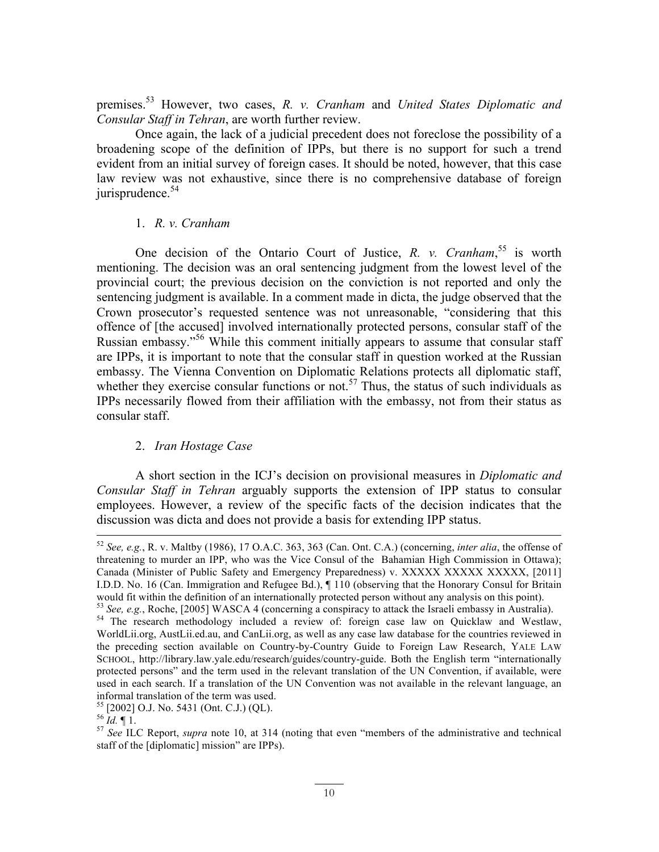premises. <sup>53</sup> However, two cases, *R. v. Cranham* and *United States Diplomatic and Consular Staff in Tehran*, are worth further review.

Once again, the lack of a judicial precedent does not foreclose the possibility of a broadening scope of the definition of IPPs, but there is no support for such a trend evident from an initial survey of foreign cases. It should be noted, however, that this case law review was not exhaustive, since there is no comprehensive database of foreign jurisprudence. $54$ 

### 1. *R. v. Cranham*

One decision of the Ontario Court of Justice, *R. v. Cranham*,<sup>55</sup> is worth mentioning. The decision was an oral sentencing judgment from the lowest level of the provincial court; the previous decision on the conviction is not reported and only the sentencing judgment is available. In a comment made in dicta, the judge observed that the Crown prosecutor's requested sentence was not unreasonable, "considering that this offence of [the accused] involved internationally protected persons, consular staff of the Russian embassy." <sup>56</sup> While this comment initially appears to assume that consular staff are IPPs, it is important to note that the consular staff in question worked at the Russian embassy. The Vienna Convention on Diplomatic Relations protects all diplomatic staff, whether they exercise consular functions or not.<sup>57</sup> Thus, the status of such individuals as IPPs necessarily flowed from their affiliation with the embassy, not from their status as consular staff.

### 2. *Iran Hostage Case*

A short section in the ICJ's decision on provisional measures in *Diplomatic and Consular Staff in Tehran* arguably supports the extension of IPP status to consular employees. However, a review of the specific facts of the decision indicates that the discussion was dicta and does not provide a basis for extending IPP status.

<sup>52</sup> *See, e.g.*, R. v. Maltby (1986), 17 O.A.C. 363, 363 (Can. Ont. C.A.) (concerning, *inter alia*, the offense of threatening to murder an IPP, who was the Vice Consul of the Bahamian High Commission in Ottawa); Canada (Minister of Public Safety and Emergency Preparedness) v. XXXXX XXXXX XXXXX, [2011] I.D.D. No. 16 (Can. Immigration and Refugee Bd.), ¶ 110 (observing that the Honorary Consul for Britain

would fit within the definition of an internationally protected person without any analysis on this point).<br><sup>53</sup> See, e.g., Roche, [2005] WASCA 4 (concerning a conspiracy to attack the Israeli embassy in Australia).<br><sup>54</sup> T WorldLii.org, AustLii.ed.au, and CanLii.org, as well as any case law database for the countries reviewed in the preceding section available on Country-by-Country Guide to Foreign Law Research, YALE LAW SCHOOL, http://library.law.yale.edu/research/guides/country-guide. Both the English term "internationally protected persons" and the term used in the relevant translation of the UN Convention, if available, were used in each search. If a translation of the UN Convention was not available in the relevant language, an informal translation of the term was used.<br><sup>55</sup> [2002] O.J. No. 5431 (Ont. C.J.) (QL).<br><sup>56</sup> *Id.* ¶ 1.<br><sup>57</sup> *See* ILC Report, *supra* note 10, at 314 (noting that even "members of the administrative and technical

staff of the [diplomatic] mission" are IPPs).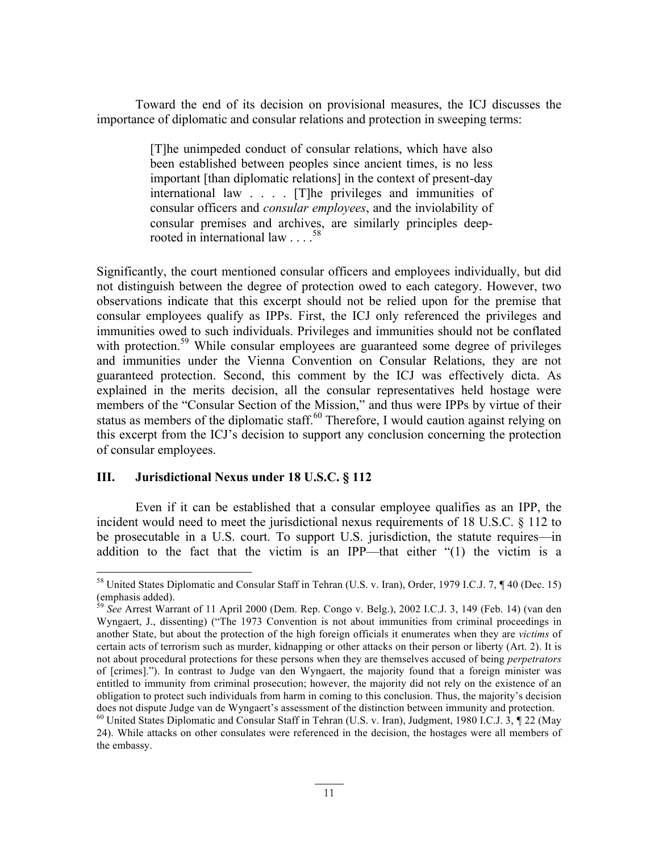Toward the end of its decision on provisional measures, the ICJ discusses the importance of diplomatic and consular relations and protection in sweeping terms:

> [T]he unimpeded conduct of consular relations, which have also been established between peoples since ancient times, is no less important [than diplomatic relations] in the context of present-day international law . . . . [T]he privileges and immunities of consular officers and *consular employees*, and the inviolability of consular premises and archives, are similarly principles deeprooted in international law . . . .<sup>58</sup>

Significantly, the court mentioned consular officers and employees individually, but did not distinguish between the degree of protection owed to each category. However, two observations indicate that this excerpt should not be relied upon for the premise that consular employees qualify as IPPs. First, the ICJ only referenced the privileges and immunities owed to such individuals. Privileges and immunities should not be conflated with protection.<sup>59</sup> While consular employees are guaranteed some degree of privileges and immunities under the Vienna Convention on Consular Relations, they are not guaranteed protection. Second, this comment by the ICJ was effectively dicta. As explained in the merits decision, all the consular representatives held hostage were members of the "Consular Section of the Mission," and thus were IPPs by virtue of their status as members of the diplomatic staff.<sup>60</sup> Therefore, I would caution against relying on this excerpt from the ICJ's decision to support any conclusion concerning the protection of consular employees.

### **III. Jurisdictional Nexus under 18 U.S.C. § 112**

Even if it can be established that a consular employee qualifies as an IPP, the incident would need to meet the jurisdictional nexus requirements of 18 U.S.C. § 112 to be prosecutable in a U.S. court. To support U.S. jurisdiction, the statute requires—in addition to the fact that the victim is an IPP—that either "(1) the victim is a

<sup>&</sup>lt;sup>58</sup> United States Diplomatic and Consular Staff in Tehran (U.S. v. Iran), Order, 1979 I.C.J. 7, **¶** 40 (Dec. 15)<br>(emphasis added).<br><sup>59</sup> See Arrest Warrist in California in Cases of Lecture of Lecture of Lecture of Lecture

<sup>&</sup>lt;sup>9</sup> See Arrest Warrant of 11 April 2000 (Dem. Rep. Congo v. Belg.), 2002 I.C.J. 3, 149 (Feb. 14) (van den Wyngaert, J., dissenting) ("The 1973 Convention is not about immunities from criminal proceedings in another State, but about the protection of the high foreign officials it enumerates when they are *victims* of certain acts of terrorism such as murder, kidnapping or other attacks on their person or liberty (Art. 2). It is not about procedural protections for these persons when they are themselves accused of being *perpetrators* of [crimes]."). In contrast to Judge van den Wyngaert, the majority found that a foreign minister was entitled to immunity from criminal prosecution; however, the majority did not rely on the existence of an obligation to protect such individuals from harm in coming to this conclusion. Thus, the majority's decision does not dispute Judge van de Wyngaert's assessment of the distinction between immunity and protection. <sup>60</sup> United States Diplomatic and Consular Staff in Tehran (U.S. v. Iran), Judgment, 1980 I.C.J. 3, *¶* 22 (May

<sup>24).</sup> While attacks on other consulates were referenced in the decision, the hostages were all members of the embassy.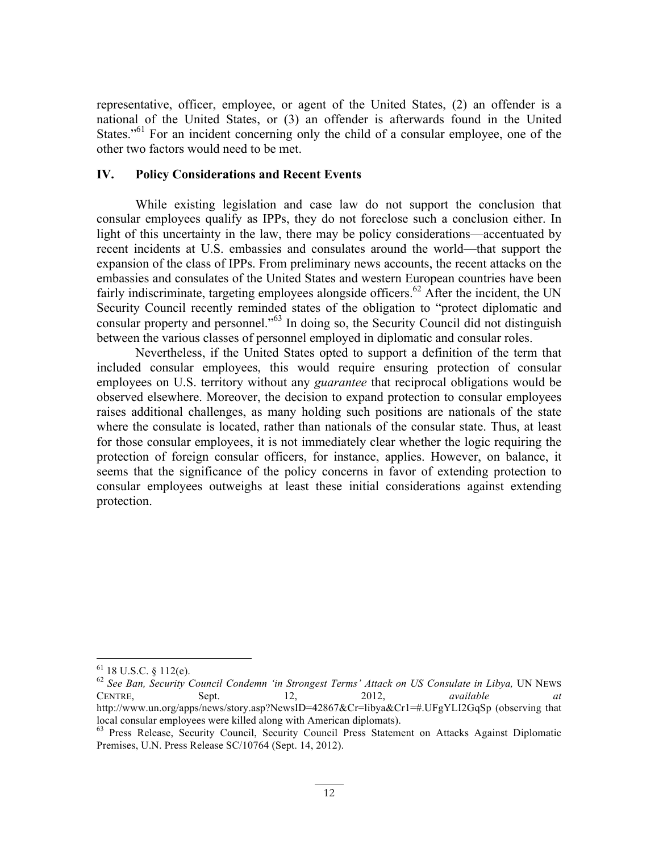representative, officer, employee, or agent of the United States, (2) an offender is a national of the United States, or (3) an offender is afterwards found in the United States."<sup>61</sup> For an incident concerning only the child of a consular employee, one of the other two factors would need to be met.

### **IV. Policy Considerations and Recent Events**

While existing legislation and case law do not support the conclusion that consular employees qualify as IPPs, they do not foreclose such a conclusion either. In light of this uncertainty in the law, there may be policy considerations—accentuated by recent incidents at U.S. embassies and consulates around the world—that support the expansion of the class of IPPs. From preliminary news accounts, the recent attacks on the embassies and consulates of the United States and western European countries have been fairly indiscriminate, targeting employees alongside officers.<sup>62</sup> After the incident, the UN Security Council recently reminded states of the obligation to "protect diplomatic and consular property and personnel." <sup>63</sup> In doing so, the Security Council did not distinguish between the various classes of personnel employed in diplomatic and consular roles.

Nevertheless, if the United States opted to support a definition of the term that included consular employees, this would require ensuring protection of consular employees on U.S. territory without any *guarantee* that reciprocal obligations would be observed elsewhere. Moreover, the decision to expand protection to consular employees raises additional challenges, as many holding such positions are nationals of the state where the consulate is located, rather than nationals of the consular state. Thus, at least for those consular employees, it is not immediately clear whether the logic requiring the protection of foreign consular officers, for instance, applies. However, on balance, it seems that the significance of the policy concerns in favor of extending protection to consular employees outweighs at least these initial considerations against extending protection.

<sup>&</sup>lt;sup>61</sup> 18 U.S.C. § 112(e).<br><sup>62</sup> *See Ban, Security Council Condemn 'in Strongest Terms' Attack on US Consulate in Libya, UN NEWS* CENTRE, Sept. 12, 2012, *available at* http://www.un.org/apps/news/story.asp?NewsID=42867&Cr=libya&Cr1=#.UFgYLI2GqSp (observing that local consular employees were killed along with American diplomats).<br><sup>63</sup> Press Release, Security Council, Security Council Press Statement on Attacks Against Diplomatic

Premises, U.N. Press Release SC/10764 (Sept. 14, 2012).